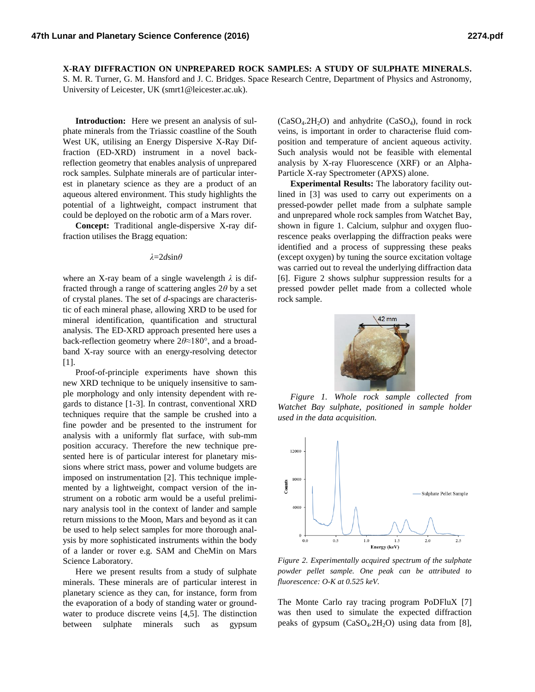**X-RAY DIFFRACTION ON UNPREPARED ROCK SAMPLES: A STUDY OF SULPHATE MINERALS.** S. M. R. Turner, G. M. Hansford and J. C. Bridges. Space Research Centre, Department of Physics and Astronomy, University of Leicester, UK (smrt1@leicester.ac.uk).

**Introduction:** Here we present an analysis of sulphate minerals from the Triassic coastline of the South West UK, utilising an Energy Dispersive X-Ray Diffraction (ED-XRD) instrument in a novel backreflection geometry that enables analysis of unprepared rock samples. Sulphate minerals are of particular interest in planetary science as they are a product of an aqueous altered environment. This study highlights the potential of a lightweight, compact instrument that could be deployed on the robotic arm of a Mars rover.

**Concept:** Traditional angle-dispersive X-ray diffraction utilises the Bragg equation:

## *λ*=2*d*sin*θ*

where an X-ray beam of a single wavelength *λ* is diffracted through a range of scattering angles 2*θ* by a set of crystal planes. The set of *d*-spacings are characteristic of each mineral phase, allowing XRD to be used for mineral identification, quantification and structural analysis. The ED-XRD approach presented here uses a back-reflection geometry where 2*θ*≈180°, and a broadband X-ray source with an energy-resolving detector [1].

Proof-of-principle experiments have shown this new XRD technique to be uniquely insensitive to sample morphology and only intensity dependent with regards to distance [1-3]. In contrast, conventional XRD techniques require that the sample be crushed into a fine powder and be presented to the instrument for analysis with a uniformly flat surface, with sub-mm position accuracy. Therefore the new technique presented here is of particular interest for planetary missions where strict mass, power and volume budgets are imposed on instrumentation [2]. This technique implemented by a lightweight, compact version of the instrument on a robotic arm would be a useful preliminary analysis tool in the context of lander and sample return missions to the Moon, Mars and beyond as it can be used to help select samples for more thorough analysis by more sophisticated instruments within the body of a lander or rover e.g. SAM and CheMin on Mars Science Laboratory.

Here we present results from a study of sulphate minerals. These minerals are of particular interest in planetary science as they can, for instance, form from the evaporation of a body of standing water or groundwater to produce discrete veins [4,5]. The distinction between sulphate minerals such as gypsum

 $(CaSO<sub>4</sub>.2H<sub>2</sub>O)$  and anhydrite  $(CaSO<sub>4</sub>)$ , found in rock veins, is important in order to characterise fluid composition and temperature of ancient aqueous activity. Such analysis would not be feasible with elemental analysis by X-ray Fluorescence (XRF) or an Alpha-Particle X-ray Spectrometer (APXS) alone.

**Experimental Results:** The laboratory facility outlined in [3] was used to carry out experiments on a pressed-powder pellet made from a sulphate sample and unprepared whole rock samples from Watchet Bay, shown in figure 1. Calcium, sulphur and oxygen fluorescence peaks overlapping the diffraction peaks were identified and a process of suppressing these peaks (except oxygen) by tuning the source excitation voltage was carried out to reveal the underlying diffraction data [6]. Figure 2 shows sulphur suppression results for a pressed powder pellet made from a collected whole rock sample.



*Figure 1. Whole rock sample collected from Watchet Bay sulphate, positioned in sample holder used in the data acquisition.* 



*Figure 2. Experimentally acquired spectrum of the sulphate powder pellet sample. One peak can be attributed to fluorescence: O-K at 0.525 keV.*

The Monte Carlo ray tracing program PoDFluX [7] was then used to simulate the expected diffraction peaks of gypsum  $(CaSO<sub>4</sub>.2H<sub>2</sub>O)$  using data from [8],